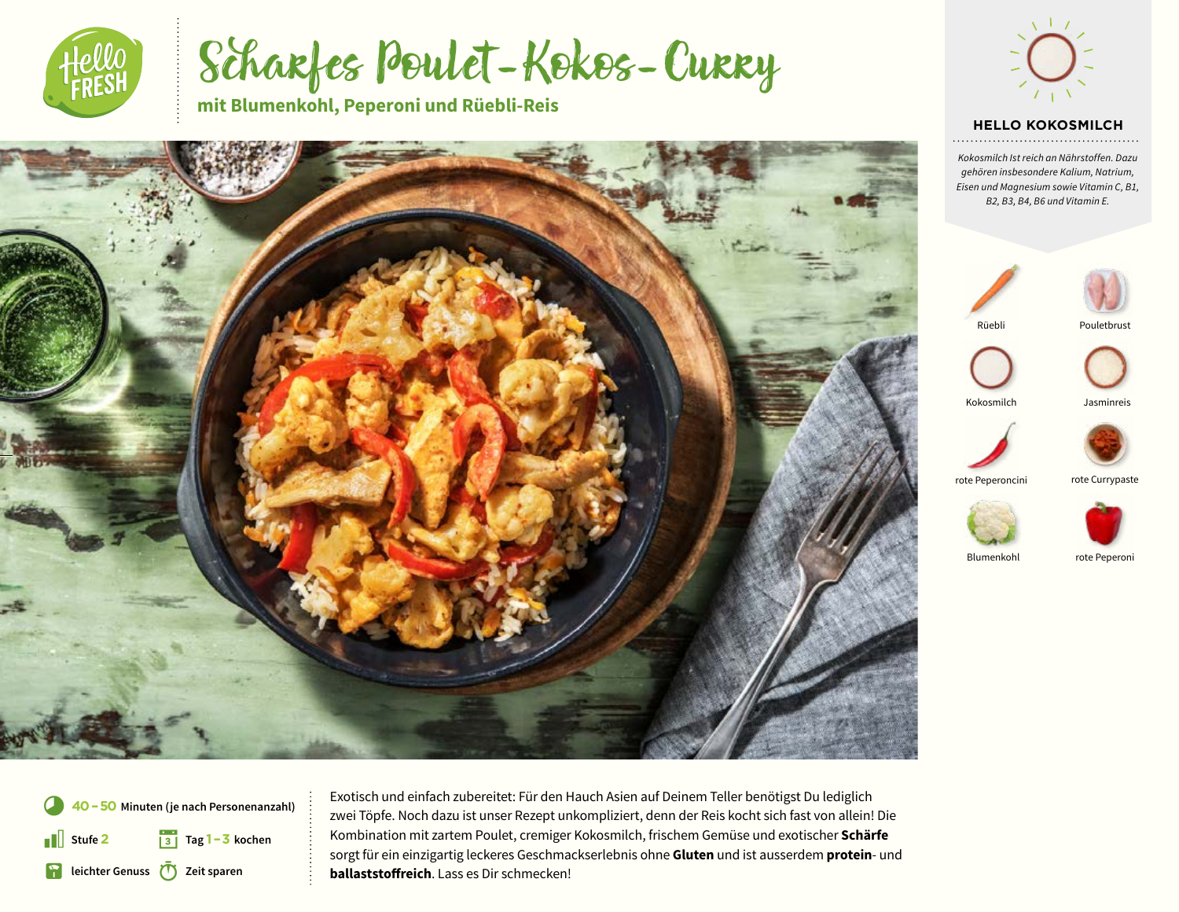

Scharfes Poulet-Kokos-Curry

**mit Blumenkohl, Peperoni und Rüebli-Reis**





#### **HELLO KOKOSMILCH**

*Kokosmilch Ist reich an Nährstoffen. Dazu gehören insbesondere Kalium, Natrium, Eisen und Magnesium sowie Vitamin C, B1, B2, B3, B4, B6 und Vitamin E.*





Rüebli



Kokosmilch Jasminreis



rote Peperoncini rote Currypaste





Blumenkohl rote Peperon

\* § **Tag 1 –3 kochen 40 –50 Minuten (je nach Personenanzahl) Stufe 2 R** leichter Genuss **(T)** Zeit sparen

8 Exotisch und einfach zubereitet: Für den Hauch Asien auf Deinem Teller benötigst Du lediglich zwei Töpfe. Noch dazu ist unser Rezept unkompliziert, denn der Reis kocht sich fast von allein! Die Kombination mit zartem Poulet, cremiger Kokosmilch, frischem Gemüse und exotischer **Schärfe** sorgt für ein einzigartig leckeres Geschmackserlebnis ohne **Gluten** und ist ausserdem **protein**- und **ballaststoffreich**. Lass es Dir schmecken!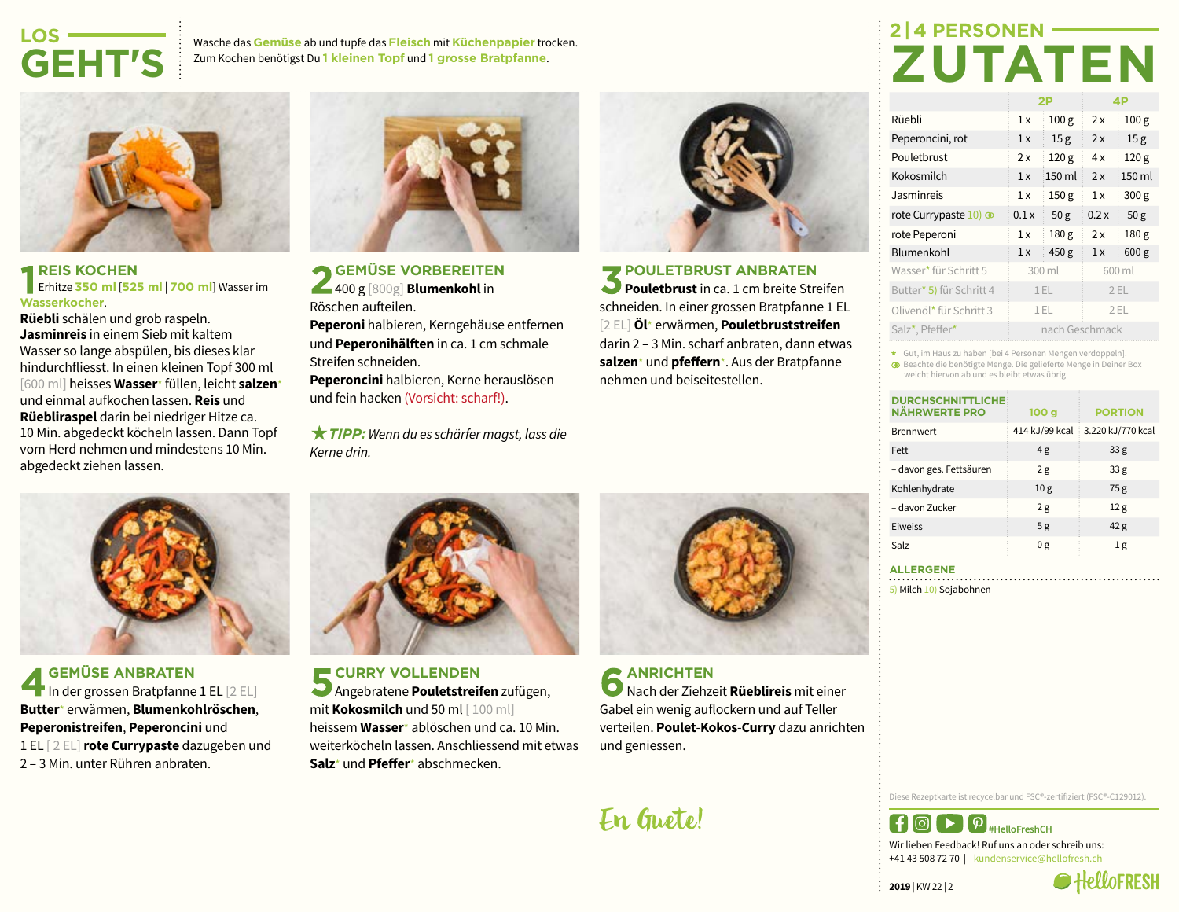## **LOS-GEHT'S**

Wasche das **Gemüse** ab und tupfe das **Fleisch** mit **Küchenpapier** trocken. Zum Kochen benötigst Du **1 kleinen Topf** und **1 grosse Bratpfanne**.



#### **REIS KOCHEN** Erhitze **350 ml** [**525 ml** | **700 ml**] Wasser im **Wasserkocher**.

**Rüebli** schälen und grob raspeln. **Jasminreis** in einem Sieb mit kaltem Wasser so lange abspülen, bis dieses klar hindurchfliesst. In einen kleinen Topf 300 ml [600 ml] heisses **Wasser**\* füllen, leicht **salzen**\* und einmal aufkochen lassen. **Reis** und **Rüebliraspel** darin bei niedriger Hitze ca. 10 Min. abgedeckt köcheln lassen. Dann Topf vom Herd nehmen und mindestens 10 Min. abgedeckt ziehen lassen.



**GEMÜSE ANBRATEN** In der grossen Bratpfanne 1 EL [2 EL] **Butter**\* erwärmen, **Blumenkohlröschen**, **Peperonistreifen**, **Peperoncini** und 1 EL [ 2 EL]**rote Currypaste** dazugeben und 2 – 3 Min. unter Rühren anbraten.



**GEMÜSE VORBEREITEN** 400 g [800g] **Blumenkohl** in Röschen aufteilen.

**Peperoni** halbieren, Kerngehäuse entfernen und **Peperonihälften** in ca. 1 cm schmale Streifen schneiden.

**Peperoncini** halbieren, Kerne herauslösen und fein hacken (Vorsicht: scharf!).

 $★$  **TIPP:** Wenn du es schärfer magst, lass die *Kerne drin.*



**CURRY VOLLENDEN** Angebratene **Pouletstreifen** zufügen, mit **Kokosmilch** und 50 ml [ 100 ml] heissem **Wasser**\* ablöschen und ca. 10 Min. weiterköcheln lassen. Anschliessend mit etwas **Salz**\* und **Pfeffer**\* abschmecken.



**POULETBRUST ANBRATEN Pouletbrust** in ca. 1 cm breite Streifen schneiden. In einer grossen Bratpfanne 1 EL [2 EL] **Öl**\* erwärmen, **Pouletbruststreifen**  darin 2 – 3 Min. scharf anbraten, dann etwas **salzen**\* und **pfeffern**\*. Aus der Bratpfanne nehmen und beiseitestellen.



**ANRICHTEN** Nach der Ziehzeit **Rüeblireis** mit einer Gabel ein wenig auflockern und auf Teller verteilen. **Poulet**-**Kokos**-**Curry** dazu anrichten und geniessen.

En Guete!

## **2 | 4 PERSONEN-ZUTATEN**

|                          | 2P             |                  | 4P     |                  |
|--------------------------|----------------|------------------|--------|------------------|
| Rüebli                   | 1x             | 100 <sub>g</sub> | 2x     | 100 <sub>g</sub> |
| Peperoncini, rot         | 1x             | 15 <sub>g</sub>  | 2x     | 15 <sub>g</sub>  |
| Pouletbrust              | 2x             | 120 g            | 4x     | 120 <sub>g</sub> |
| Kokosmilch               | 1x             | 150 ml           | 2x     | 150 ml           |
| Jasminreis               | 1x             | 150 <sub>g</sub> | 1x     | 300 <sub>g</sub> |
| rote Currypaste 10) co   | 0.1x           | 50 <sub>g</sub>  | 0.2x   | 50 <sub>g</sub>  |
| rote Peperoni            | 1x             | 180 <sub>g</sub> | 2x     | 180 <sub>g</sub> |
| Blumenkohl               | 1x             | 450 g            | 1x     | 600 <sub>g</sub> |
| Wasser* für Schritt 5    | 300 ml         |                  | 600 ml |                  |
| Butter* 5) für Schritt 4 | 1 EL           |                  | 2EL    |                  |
| Olivenöl* für Schritt 3  | $1$ EL         |                  |        | 2EL              |
| Salz*, Pfeffer*          | nach Geschmack |                  |        |                  |

Gut, im Haus zu haben [bei 4 Personen Mengen verdoppeln]. Beachte die benötigte Menge. Die gelieferte Menge in Deiner Box weicht hiervon ab und es bleibt etwas übrig.

| <b>DURCHSCHNITTLICHE</b><br><b>NÄHRWERTE PRO</b> | 100 <sub>g</sub> | <b>PORTION</b>    |
|--------------------------------------------------|------------------|-------------------|
| <b>Brennwert</b>                                 | 414 kJ/99 kcal   | 3.220 kJ/770 kcal |
| Fett                                             | 4g               | 33 <sub>g</sub>   |
| - davon ges. Fettsäuren                          | 2g               | 33 <sub>g</sub>   |
| Kohlenhydrate                                    | 10 <sub>g</sub>  | 75g               |
| - davon Zucker                                   | 2g               | 12 <sub>g</sub>   |
| Eiweiss                                          | 5g               | 42 <sub>g</sub>   |
| Salz                                             | 0g               | 1g                |

**ALLERGENE**

5) Milch 10) Sojabohnen

Diese Rezeptkarte ist recycelbar und FSC®-zertifiziert (FSC®-C129012).



**2019** | KW 22 | 2

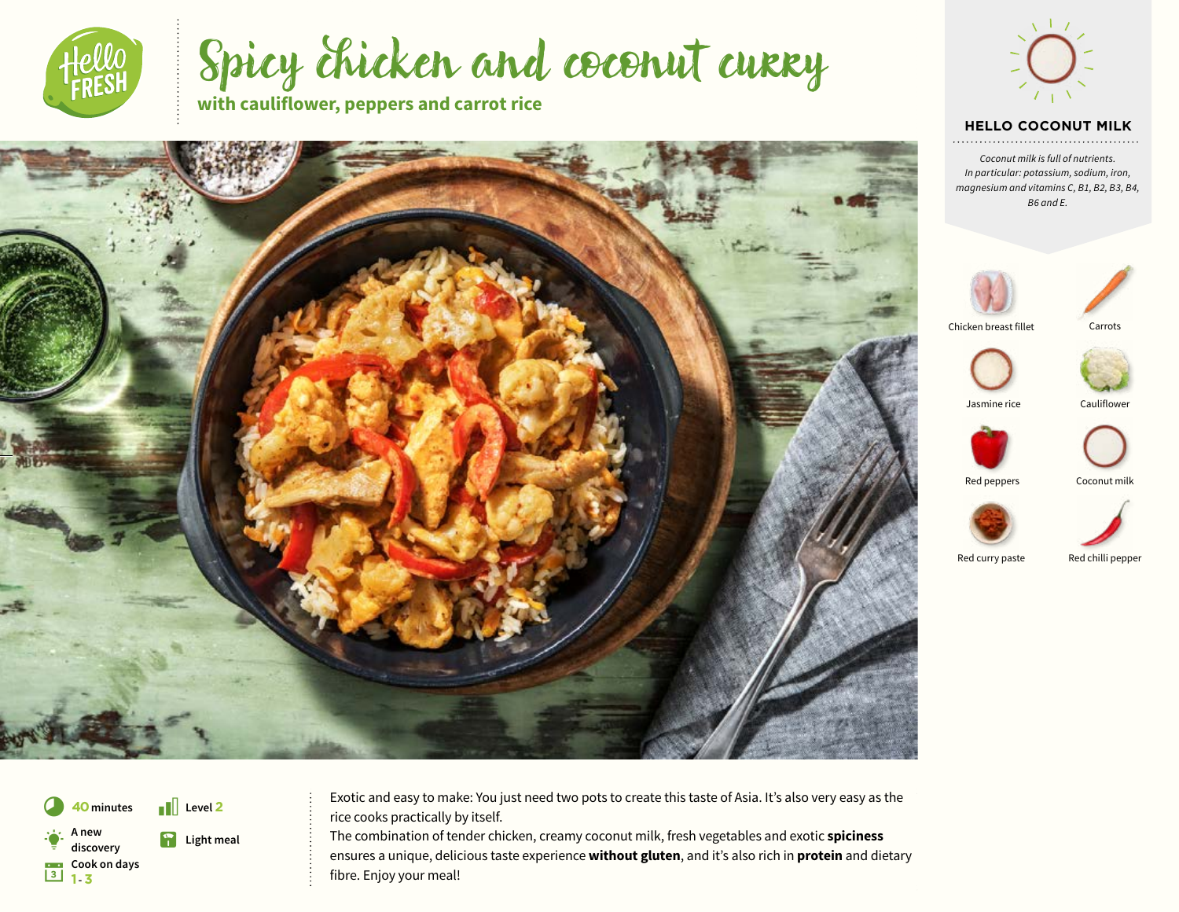

Spicy chicken and coconut curry

**with cauliflower, peppers and carrot rice**





#### **HELLO COCONUT MILK**

*Coconut milk is full of nutrients. In particular: potassium, sodium, iron, magnesium and vitamins C, B1, B2, B3, B4, B6 and E.*





Chicken breast fillet





Jasmine rice Cauliflower







Red curry paste Red chilli pepper

**cook on days**<br>**a 1** - **3** A new<br>discovery **discovery** Light meal

**40** minutes **i Level 2** Exotic and easy to make: You just need two pots to create this taste of Asia. It's also very easy as the rice cooks practically by itself.

> The combination of tender chicken, creamy coconut milk, fresh vegetables and exotic **spiciness** ensures a unique, delicious taste experience **without gluten**, and it's also rich in **protein** and dietary fibre. Enjoy your meal!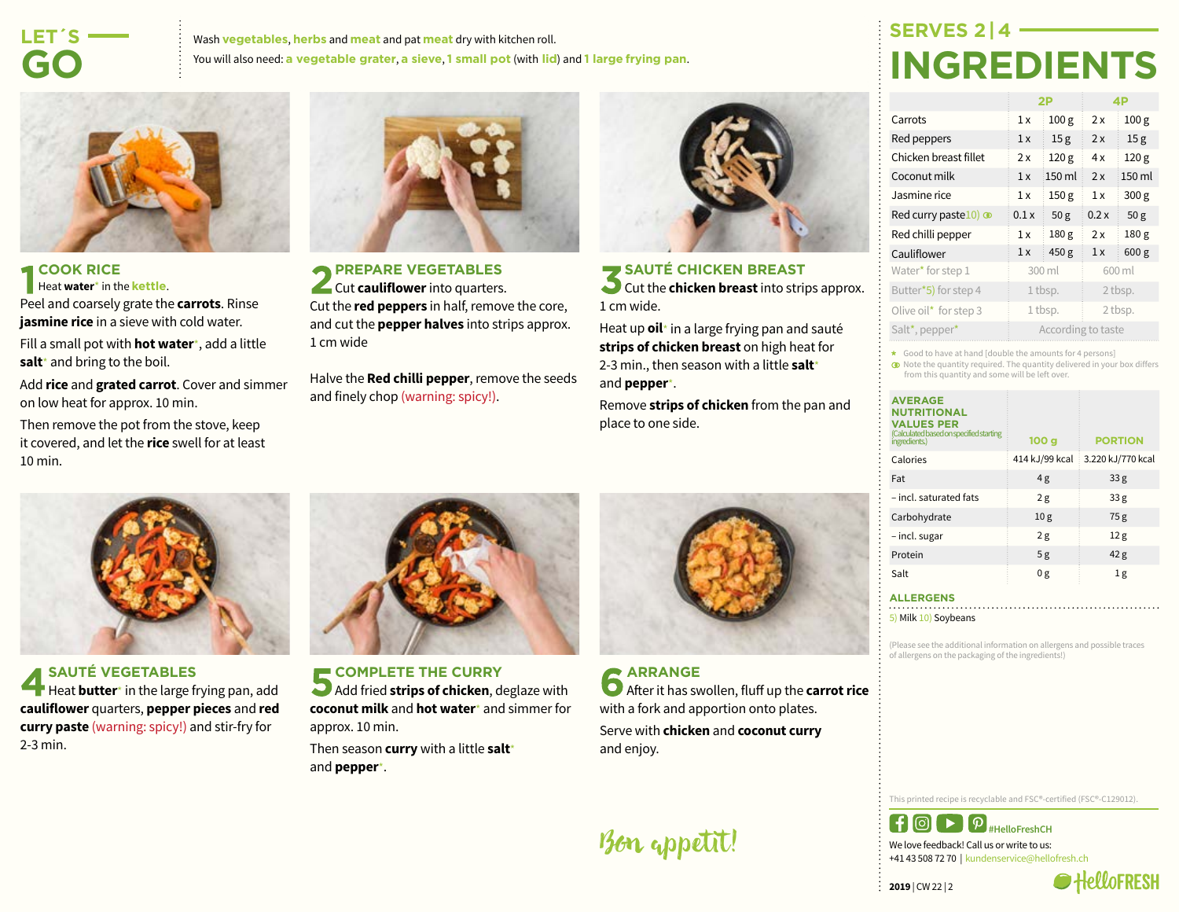## **LET´S-GO**

Wash **vegetables**, **herbs** and **meat** and pat **meat** dry with kitchen roll. You will also need: **a vegetable grater**, **a sieve**, **1 small pot** (with **lid**) and **1 large frying pan**.



#### **COOK RICE** Heat **water**\* in the **kettle**. Peel and coarsely grate the **carrots**. Rinse **jasmine rice** in a sieve with cold water.

Fill a small pot with **hot water**\*, add a little **salt**\* and bring to the boil.

Add **rice** and **grated carrot**. Cover and simmer on low heat for approx. 10 min.

Then remove the pot from the stove, keep it covered, and let the **rice** swell for at least 10 min.



**PREPARE VEGETABLES Cut cauliflower** into quarters. Cut the **red peppers** in half, remove the core, and cut the **pepper halves** into strips approx. 1 cm wide

Halve the **Red chilli pepper**, remove the seeds and finely chop (warning: spicy!).



#### **SAUTÉ CHICKEN BREAST**

Cut the **chicken breast** into strips approx. 1 cm wide.

Heat up **oil**\* in a large frying pan and sauté **strips of chicken breast** on high heat for 2-3 min., then season with a little **salt**\* and **pepper**\*.

Remove **strips of chicken** from the pan and place to one side.



|                                | 2P                 |                  | 4Р      |                  |
|--------------------------------|--------------------|------------------|---------|------------------|
| Carrots                        | 1x                 | 100 <sub>g</sub> | 2x      | 100 <sub>g</sub> |
| Red peppers                    | 1x                 | 15 <sub>g</sub>  | 2x      | 15 <sub>g</sub>  |
| Chicken breast fillet          | 2x                 | 120 <sub>g</sub> | 4x      | 120 <sub>g</sub> |
| Coconut milk                   | 1x                 | 150 ml           | 2x      | 150 ml           |
| Jasmine rice                   | 1x                 | 150 <sub>g</sub> | 1x      | 300 <sub>g</sub> |
| Red curry paste $10$ ) $\odot$ | 0.1x               | 50 <sub>g</sub>  | 0.2x    | 50 <sub>g</sub>  |
| Red chilli pepper              | 1x                 | 180 <sub>g</sub> | 2x      | 180 <sub>g</sub> |
| Cauliflower                    | 1x                 | 450 g            | 1x      | 600 <sub>g</sub> |
| Water* for step 1              | 300 ml             |                  | 600 ml  |                  |
| Butter*5) for step 4           | 1 tbsp.            |                  | 2 tbsp. |                  |
| Olive oil* for step 3          | 1 tbsp.            |                  | 2 tbsp. |                  |
| Salt*, pepper*                 | According to taste |                  |         |                  |

\* Good to have at hand [double the amounts for 4 persons]

Note the quantity required. The quantity delivered in your box differs from this quantity and some will be left over.

| <b>AVERAGE</b><br><b>NUTRITIONAL</b><br><b>VALUES PER</b><br>(Calculated based on specified starting |                  |                   |
|------------------------------------------------------------------------------------------------------|------------------|-------------------|
| ingredients.)                                                                                        | 100 <sub>g</sub> | <b>PORTION</b>    |
| Calories                                                                                             | 414 kJ/99 kcal   | 3.220 kJ/770 kcal |
| Fat                                                                                                  | 4g               | 33 <sub>g</sub>   |
| - incl. saturated fats                                                                               | 2g               | 33 <sub>g</sub>   |
| Carbohydrate                                                                                         | 10 <sub>g</sub>  | 75g               |
| - incl. sugar                                                                                        | 2g               | 12g               |
| Protein                                                                                              | 5g               | 42 <sub>g</sub>   |
| Salt                                                                                                 | 0g               | 1g                |

#### **ALLERGENS**

5) Milk 10) Soybeans

(Please see the additional information on allergens and possible traces of allergens on the packaging of the ingredients!)

**SAUTÉ VEGETABLES** Heat **butter**\* in the large frying pan, add **cauliflower** quarters, **pepper pieces** and **red curry paste** (warning: spicy!) and stir-fry for 2-3 min.



**COMPLETE THE CURRY** Add fried **strips of chicken**, deglaze with **coconut milk** and **hot water**\* and simmer for approx. 10 min.

Then season **curry** with a little **salt**\* and **pepper**\*.



**ARRANGE After it has swollen, fluff up the carrot rice** with a fork and apportion onto plates. Serve with **chicken** and **coconut curry** and enjoy.

This printed recipe is recyclable and FSC®-certified (FSC®-C129012).



+41 43 508 72 70 | kundenservice@hellofresh.ch

**2019** | CW 22 | 2



Bon appetit!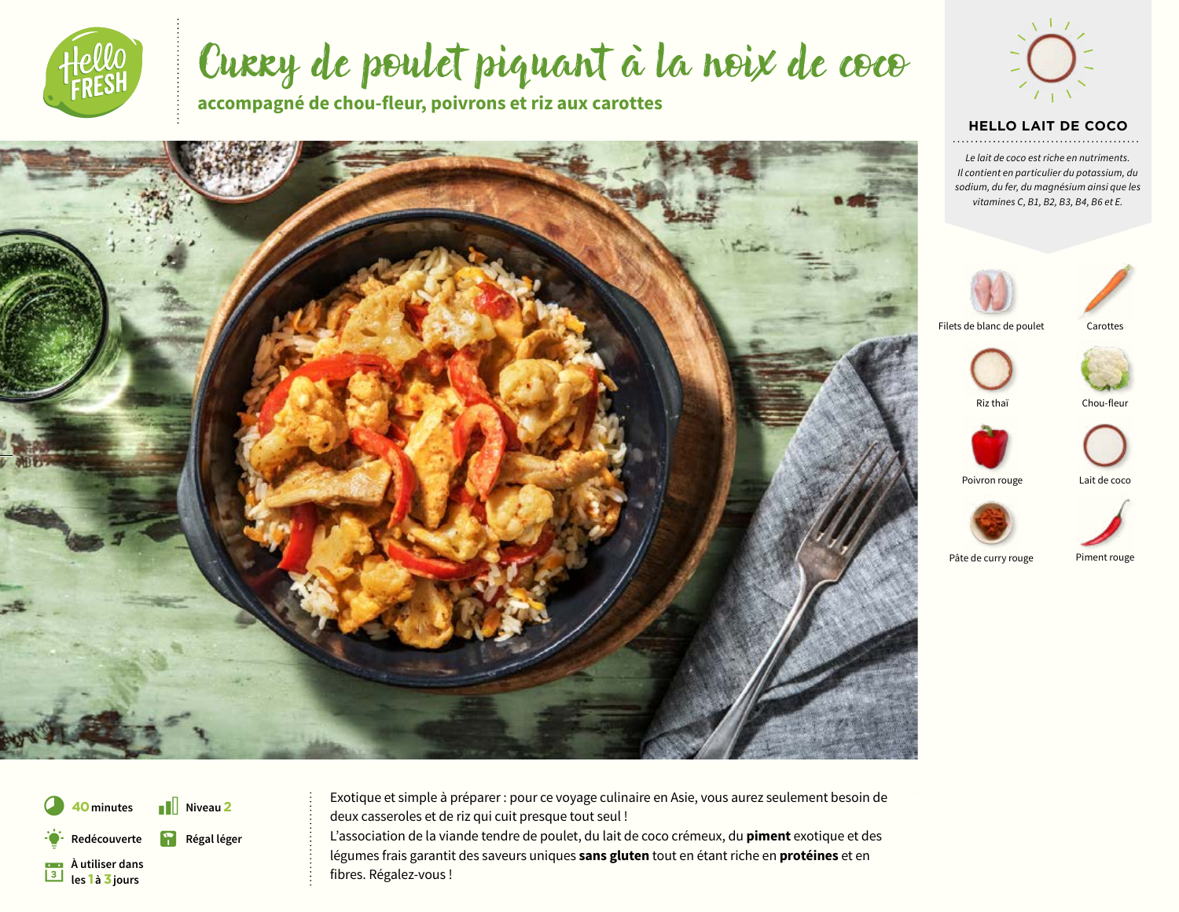

# Curry de poulet piquant à la noix de coco

**accompagné de chou-fleur, poivrons et riz aux carottes**







Pâte de curry rouge Piment rouge

**À utiliser dans** § **les 1 à 3 jours** Redécouverte **La Régal léger** 

**40** minutes **i** Niveau 2 Exotique et simple à préparer : pour ce voyage culinaire en Asie, vous aurez seulement besoin de deux casseroles et de riz qui cuit presque tout seul ! L'association de la viande tendre de poulet, du lait de coco crémeux, du **piment** exotique et des légumes frais garantit des saveurs uniques **sans gluten** tout en étant riche en **protéines** et en fibres. Régalez-vous !